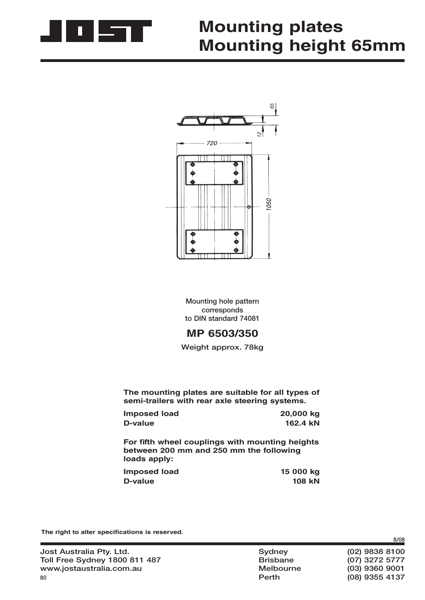

## **Mounting plates Mounting height 65mm**



**Mounting hole pattern corresponds to DIN standard 74081**

## **MP 6503/350**

**Weight approx. 78kg**

**The mounting plates are suitable for all types of semi-trailers with rear axle steering systems.**

| <b>Imposed load</b> | 20,000 kg |
|---------------------|-----------|
| D-value             | 162.4 kN  |

For fifth wheel couplings with mounting heights **between 200 mm and 250 mm the following loads apply:**

| <b>Imposed load</b> | 15 000 kg     |
|---------------------|---------------|
| D-value             | <b>108 kN</b> |

The right to alter specifications is reserved.

| Jost Australia Pty. Ltd.             |
|--------------------------------------|
| <b>Toll Free Sydney 1800 811 487</b> |
| www.jostaustralia.com.au             |
| 80                                   |

**Jost Australia Pty. Ltd. Sydney (02) 9838 8100 The Extra Free System System System System System System System System System System System System System System System System System System System System System System System System System System System System System Sys www.jostaustralia.com.au Melbourne (03) 9360 9001 Perth (08) 9355 4137**

**8/08**